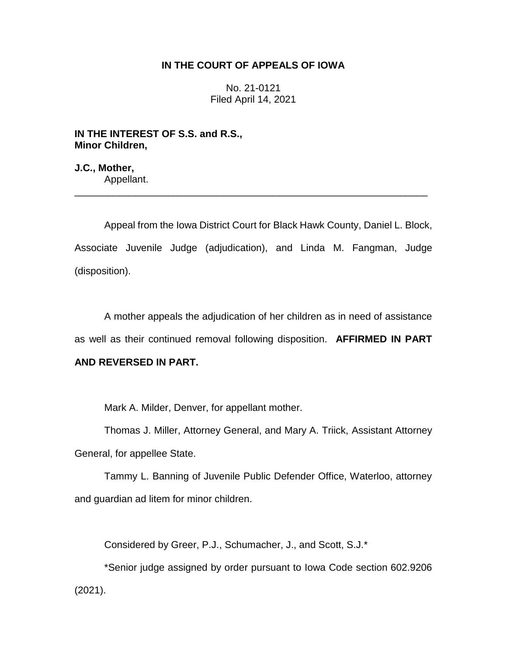## **IN THE COURT OF APPEALS OF IOWA**

No. 21-0121 Filed April 14, 2021

**IN THE INTEREST OF S.S. and R.S., Minor Children,**

**J.C., Mother,** Appellant.

Appeal from the Iowa District Court for Black Hawk County, Daniel L. Block, Associate Juvenile Judge (adjudication), and Linda M. Fangman, Judge (disposition).

\_\_\_\_\_\_\_\_\_\_\_\_\_\_\_\_\_\_\_\_\_\_\_\_\_\_\_\_\_\_\_\_\_\_\_\_\_\_\_\_\_\_\_\_\_\_\_\_\_\_\_\_\_\_\_\_\_\_\_\_\_\_\_\_

A mother appeals the adjudication of her children as in need of assistance as well as their continued removal following disposition. **AFFIRMED IN PART** 

# **AND REVERSED IN PART.**

Mark A. Milder, Denver, for appellant mother.

Thomas J. Miller, Attorney General, and Mary A. Triick, Assistant Attorney General, for appellee State.

Tammy L. Banning of Juvenile Public Defender Office, Waterloo, attorney and guardian ad litem for minor children.

Considered by Greer, P.J., Schumacher, J., and Scott, S.J.\*

\*Senior judge assigned by order pursuant to Iowa Code section 602.9206 (2021).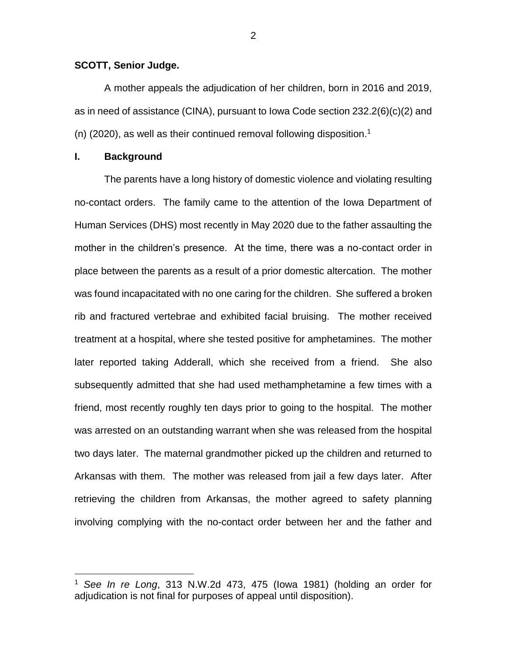### **SCOTT, Senior Judge.**

A mother appeals the adjudication of her children, born in 2016 and 2019, as in need of assistance (CINA), pursuant to Iowa Code section 232.2(6)(c)(2) and (n) (2020), as well as their continued removal following disposition.<sup>1</sup>

## **I. Background**

 $\overline{a}$ 

The parents have a long history of domestic violence and violating resulting no-contact orders. The family came to the attention of the Iowa Department of Human Services (DHS) most recently in May 2020 due to the father assaulting the mother in the children's presence. At the time, there was a no-contact order in place between the parents as a result of a prior domestic altercation. The mother was found incapacitated with no one caring for the children. She suffered a broken rib and fractured vertebrae and exhibited facial bruising. The mother received treatment at a hospital, where she tested positive for amphetamines. The mother later reported taking Adderall, which she received from a friend. She also subsequently admitted that she had used methamphetamine a few times with a friend, most recently roughly ten days prior to going to the hospital. The mother was arrested on an outstanding warrant when she was released from the hospital two days later. The maternal grandmother picked up the children and returned to Arkansas with them. The mother was released from jail a few days later. After retrieving the children from Arkansas, the mother agreed to safety planning involving complying with the no-contact order between her and the father and

<sup>1</sup> *See In re Long*, 313 N.W.2d 473, 475 (Iowa 1981) (holding an order for adjudication is not final for purposes of appeal until disposition).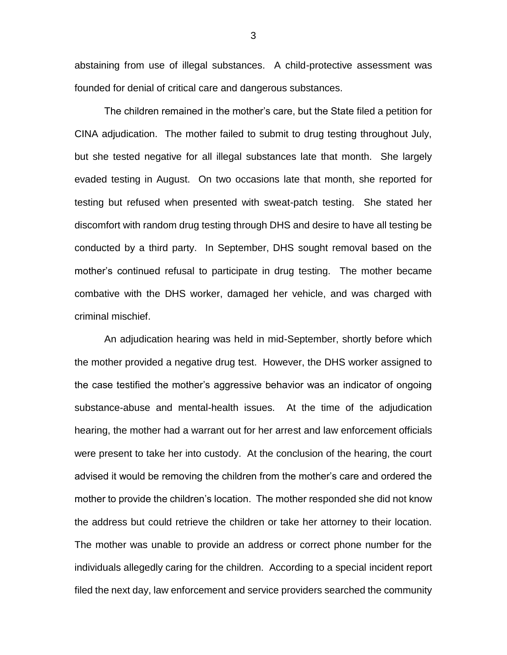abstaining from use of illegal substances. A child-protective assessment was founded for denial of critical care and dangerous substances.

The children remained in the mother's care, but the State filed a petition for CINA adjudication. The mother failed to submit to drug testing throughout July, but she tested negative for all illegal substances late that month. She largely evaded testing in August. On two occasions late that month, she reported for testing but refused when presented with sweat-patch testing. She stated her discomfort with random drug testing through DHS and desire to have all testing be conducted by a third party. In September, DHS sought removal based on the mother's continued refusal to participate in drug testing. The mother became combative with the DHS worker, damaged her vehicle, and was charged with criminal mischief.

An adjudication hearing was held in mid-September, shortly before which the mother provided a negative drug test. However, the DHS worker assigned to the case testified the mother's aggressive behavior was an indicator of ongoing substance-abuse and mental-health issues. At the time of the adjudication hearing, the mother had a warrant out for her arrest and law enforcement officials were present to take her into custody. At the conclusion of the hearing, the court advised it would be removing the children from the mother's care and ordered the mother to provide the children's location. The mother responded she did not know the address but could retrieve the children or take her attorney to their location. The mother was unable to provide an address or correct phone number for the individuals allegedly caring for the children. According to a special incident report filed the next day, law enforcement and service providers searched the community

3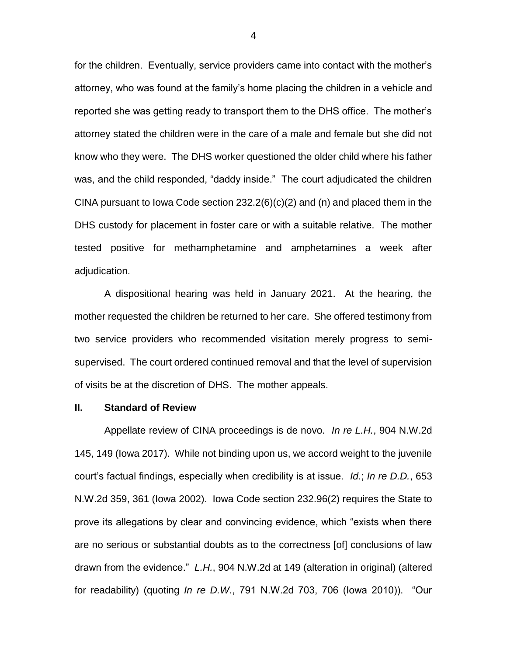for the children. Eventually, service providers came into contact with the mother's attorney, who was found at the family's home placing the children in a vehicle and reported she was getting ready to transport them to the DHS office. The mother's attorney stated the children were in the care of a male and female but she did not know who they were. The DHS worker questioned the older child where his father was, and the child responded, "daddy inside." The court adjudicated the children CINA pursuant to lowa Code section  $232.2(6)(c)(2)$  and (n) and placed them in the DHS custody for placement in foster care or with a suitable relative. The mother tested positive for methamphetamine and amphetamines a week after adjudication.

A dispositional hearing was held in January 2021. At the hearing, the mother requested the children be returned to her care. She offered testimony from two service providers who recommended visitation merely progress to semisupervised. The court ordered continued removal and that the level of supervision of visits be at the discretion of DHS. The mother appeals.

## **II. Standard of Review**

Appellate review of CINA proceedings is de novo. *In re L.H.*, 904 N.W.2d 145, 149 (Iowa 2017). While not binding upon us, we accord weight to the juvenile court's factual findings, especially when credibility is at issue. *Id.*; *In re D.D.*, 653 N.W.2d 359, 361 (Iowa 2002). Iowa Code section 232.96(2) requires the State to prove its allegations by clear and convincing evidence, which "exists when there are no serious or substantial doubts as to the correctness [of] conclusions of law drawn from the evidence." *L.H.*, 904 N.W.2d at 149 (alteration in original) (altered for readability) (quoting *In re D.W.*, 791 N.W.2d 703, 706 (Iowa 2010)). "Our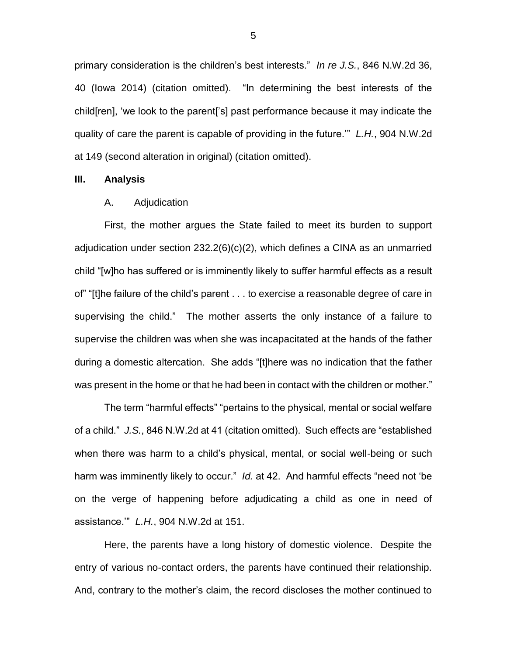primary consideration is the children's best interests." *In re J.S.*, 846 N.W.2d 36, 40 (Iowa 2014) (citation omitted). "In determining the best interests of the child[ren], 'we look to the parent['s] past performance because it may indicate the quality of care the parent is capable of providing in the future.'" *L.H.*, 904 N.W.2d at 149 (second alteration in original) (citation omitted).

#### **III. Analysis**

#### A. Adjudication

First, the mother argues the State failed to meet its burden to support adjudication under section 232.2(6)(c)(2), which defines a CINA as an unmarried child "[w]ho has suffered or is imminently likely to suffer harmful effects as a result of" "[t]he failure of the child's parent . . . to exercise a reasonable degree of care in supervising the child." The mother asserts the only instance of a failure to supervise the children was when she was incapacitated at the hands of the father during a domestic altercation. She adds "[t]here was no indication that the father was present in the home or that he had been in contact with the children or mother."

The term "harmful effects" "pertains to the physical, mental or social welfare of a child." *J.S.*, 846 N.W.2d at 41 (citation omitted). Such effects are "established when there was harm to a child's physical, mental, or social well-being or such harm was imminently likely to occur." *Id.* at 42. And harmful effects "need not 'be on the verge of happening before adjudicating a child as one in need of assistance.'" *L.H.*, 904 N.W.2d at 151.

Here, the parents have a long history of domestic violence. Despite the entry of various no-contact orders, the parents have continued their relationship. And, contrary to the mother's claim, the record discloses the mother continued to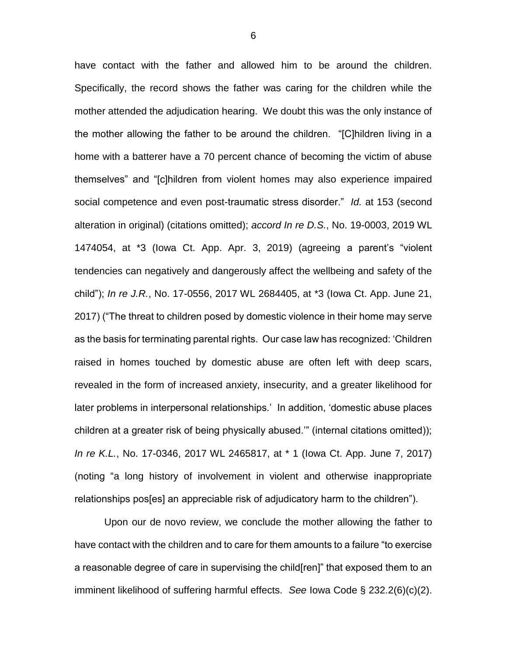have contact with the father and allowed him to be around the children. Specifically, the record shows the father was caring for the children while the mother attended the adjudication hearing. We doubt this was the only instance of the mother allowing the father to be around the children. "[C]hildren living in a home with a batterer have a 70 percent chance of becoming the victim of abuse themselves" and "[c]hildren from violent homes may also experience impaired social competence and even post-traumatic stress disorder." *Id.* at 153 (second alteration in original) (citations omitted); *accord In re D.S.*, No. 19-0003, 2019 WL 1474054, at \*3 (Iowa Ct. App. Apr. 3, 2019) (agreeing a parent's "violent tendencies can negatively and dangerously affect the wellbeing and safety of the child"); *In re J.R.*, No. 17-0556, 2017 WL 2684405, at \*3 (Iowa Ct. App. June 21, 2017) ("The threat to children posed by domestic violence in their home may serve as the basis for terminating parental rights. Our case law has recognized: 'Children raised in homes touched by domestic abuse are often left with deep scars, revealed in the form of increased anxiety, insecurity, and a greater likelihood for later problems in interpersonal relationships.' In addition, 'domestic abuse places children at a greater risk of being physically abused.'" (internal citations omitted)); *In re K.L.*, No. 17-0346, 2017 WL 2465817, at \* 1 (Iowa Ct. App. June 7, 2017) (noting "a long history of involvement in violent and otherwise inappropriate relationships pos[es] an appreciable risk of adjudicatory harm to the children").

Upon our de novo review, we conclude the mother allowing the father to have contact with the children and to care for them amounts to a failure "to exercise a reasonable degree of care in supervising the child[ren]" that exposed them to an imminent likelihood of suffering harmful effects. *See* Iowa Code § 232.2(6)(c)(2).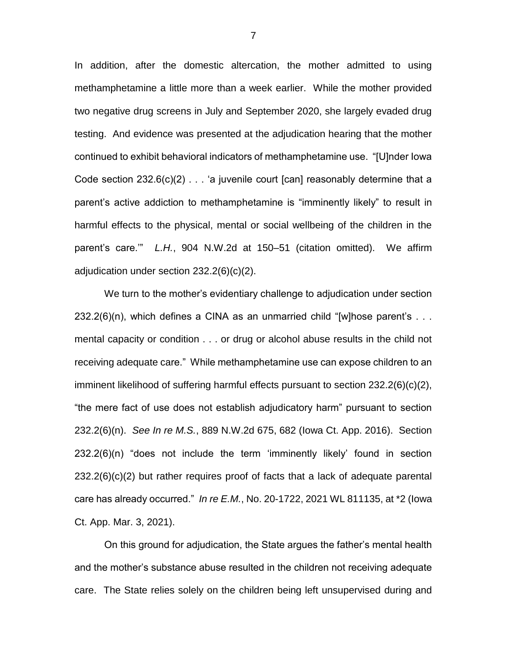In addition, after the domestic altercation, the mother admitted to using methamphetamine a little more than a week earlier. While the mother provided two negative drug screens in July and September 2020, she largely evaded drug testing. And evidence was presented at the adjudication hearing that the mother continued to exhibit behavioral indicators of methamphetamine use. "[U]nder Iowa Code section  $232.6(c)(2)$  . . . 'a juvenile court [can] reasonably determine that a parent's active addiction to methamphetamine is "imminently likely" to result in harmful effects to the physical, mental or social wellbeing of the children in the parent's care.'" *L.H.*, 904 N.W.2d at 150–51 (citation omitted). We affirm adjudication under section 232.2(6)(c)(2).

We turn to the mother's evidentiary challenge to adjudication under section 232.2(6)(n), which defines a CINA as an unmarried child "[w]hose parent's . . . mental capacity or condition . . . or drug or alcohol abuse results in the child not receiving adequate care." While methamphetamine use can expose children to an imminent likelihood of suffering harmful effects pursuant to section 232.2(6)(c)(2), "the mere fact of use does not establish adjudicatory harm" pursuant to section 232.2(6)(n). *See In re M.S.*, 889 N.W.2d 675, 682 (Iowa Ct. App. 2016). Section 232.2(6)(n) "does not include the term 'imminently likely' found in section 232.2(6)(c)(2) but rather requires proof of facts that a lack of adequate parental care has already occurred." *In re E.M.*, No. 20-1722, 2021 WL 811135, at \*2 (Iowa Ct. App. Mar. 3, 2021).

On this ground for adjudication, the State argues the father's mental health and the mother's substance abuse resulted in the children not receiving adequate care. The State relies solely on the children being left unsupervised during and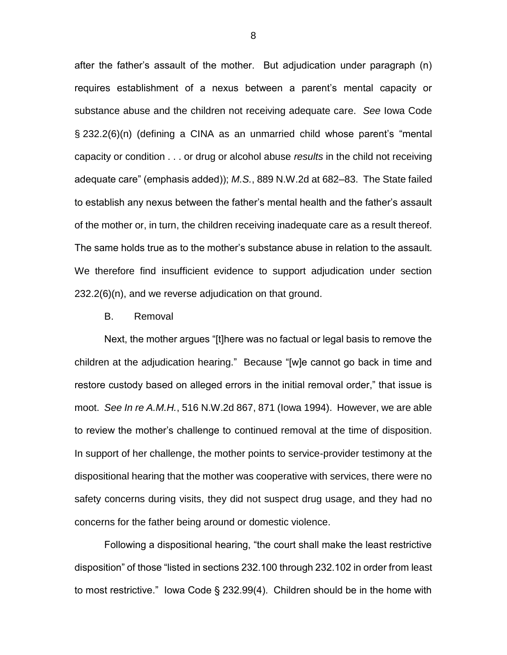after the father's assault of the mother. But adjudication under paragraph (n) requires establishment of a nexus between a parent's mental capacity or substance abuse and the children not receiving adequate care. *See* Iowa Code § 232.2(6)(n) (defining a CINA as an unmarried child whose parent's "mental capacity or condition . . . or drug or alcohol abuse *results* in the child not receiving adequate care" (emphasis added)); *M.S.*, 889 N.W.2d at 682–83. The State failed to establish any nexus between the father's mental health and the father's assault of the mother or, in turn, the children receiving inadequate care as a result thereof. The same holds true as to the mother's substance abuse in relation to the assault. We therefore find insufficient evidence to support adjudication under section 232.2(6)(n), and we reverse adjudication on that ground.

#### B. Removal

Next, the mother argues "[t]here was no factual or legal basis to remove the children at the adjudication hearing." Because "[w]e cannot go back in time and restore custody based on alleged errors in the initial removal order," that issue is moot. *See In re A.M.H.*, 516 N.W.2d 867, 871 (Iowa 1994). However, we are able to review the mother's challenge to continued removal at the time of disposition. In support of her challenge, the mother points to service-provider testimony at the dispositional hearing that the mother was cooperative with services, there were no safety concerns during visits, they did not suspect drug usage, and they had no concerns for the father being around or domestic violence.

Following a dispositional hearing, "the court shall make the least restrictive disposition" of those "listed in sections 232.100 through 232.102 in order from least to most restrictive." Iowa Code § 232.99(4). Children should be in the home with

8